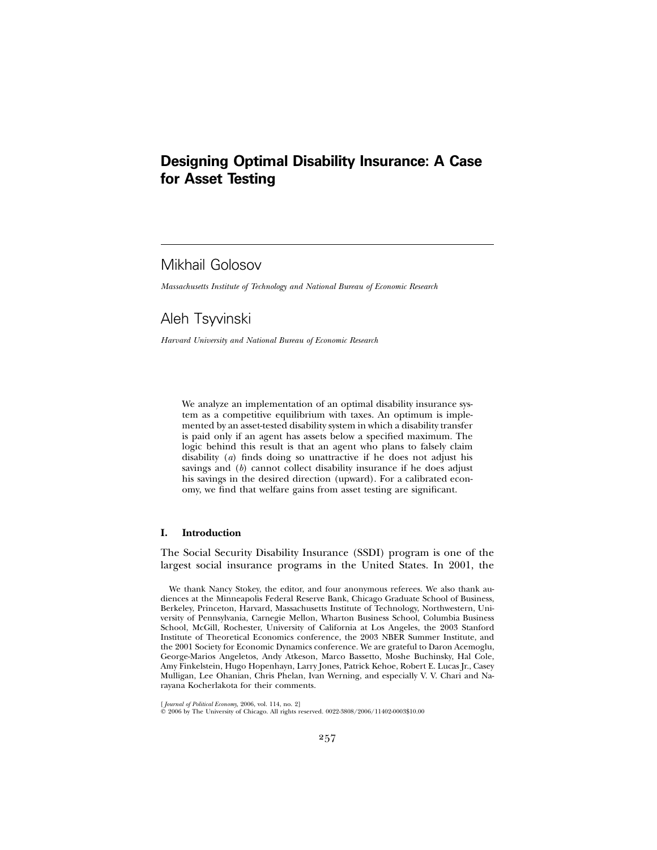# **Designing Optimal Disability Insurance: A Case for Asset Testing**

## Mikhail Golosov

*Massachusetts Institute of Technology and National Bureau of Economic Research*

## Aleh Tsyvinski

*Harvard University and National Bureau of Economic Research*

We analyze an implementation of an optimal disability insurance system as a competitive equilibrium with taxes. An optimum is implemented by an asset-tested disability system in which a disability transfer is paid only if an agent has assets below a specified maximum. The logic behind this result is that an agent who plans to falsely claim disability (*a*) finds doing so unattractive if he does not adjust his savings and (*b*) cannot collect disability insurance if he does adjust his savings in the desired direction (upward). For a calibrated economy, we find that welfare gains from asset testing are significant.

## **I. Introduction**

The Social Security Disability Insurance (SSDI) program is one of the largest social insurance programs in the United States. In 2001, the

We thank Nancy Stokey, the editor, and four anonymous referees. We also thank audiences at the Minneapolis Federal Reserve Bank, Chicago Graduate School of Business, Berkeley, Princeton, Harvard, Massachusetts Institute of Technology, Northwestern, University of Pennsylvania, Carnegie Mellon, Wharton Business School, Columbia Business School, McGill, Rochester, University of California at Los Angeles, the 2003 Stanford Institute of Theoretical Economics conference, the 2003 NBER Summer Institute, and the 2001 Society for Economic Dynamics conference. We are grateful to Daron Acemoglu, George-Marios Angeletos, Andy Atkeson, Marco Bassetto, Moshe Buchinsky, Hal Cole, Amy Finkelstein, Hugo Hopenhayn, Larry Jones, Patrick Kehoe, Robert E. Lucas Jr., Casey Mulligan, Lee Ohanian, Chris Phelan, Ivan Werning, and especially V. V. Chari and Narayana Kocherlakota for their comments.

<sup>[</sup>*Journal of Political Econom*y, 2006, vol. 114, no. 2]<br>© 2006 by The University of Chicago. All rights reserved. 0022-3808/2006/11402-0003\$10.00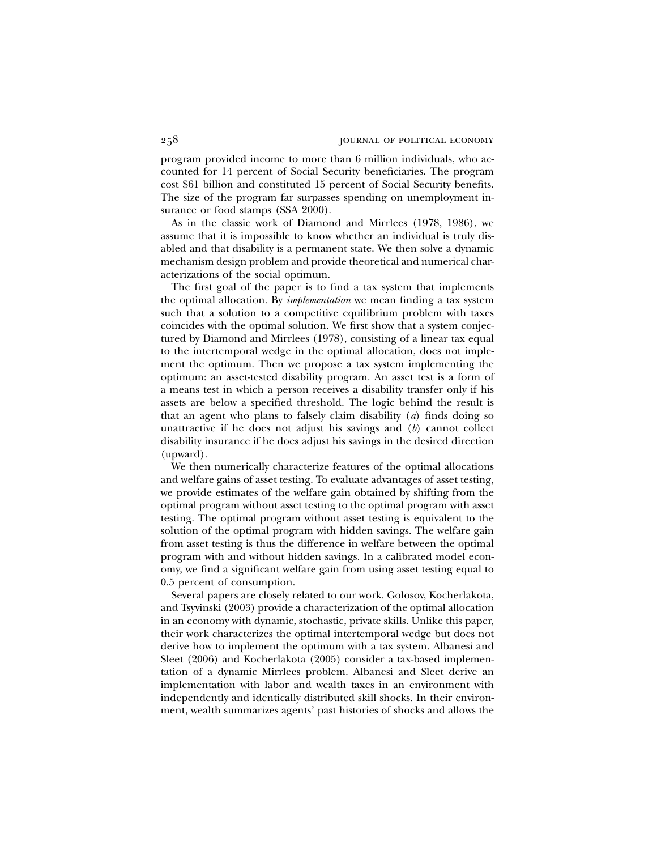program provided income to more than 6 million individuals, who accounted for 14 percent of Social Security beneficiaries. The program cost \$61 billion and constituted 15 percent of Social Security benefits. The size of the program far surpasses spending on unemployment insurance or food stamps (SSA 2000).

As in the classic work of Diamond and Mirrlees (1978, 1986), we assume that it is impossible to know whether an individual is truly disabled and that disability is a permanent state. We then solve a dynamic mechanism design problem and provide theoretical and numerical characterizations of the social optimum.

The first goal of the paper is to find a tax system that implements the optimal allocation. By *implementation* we mean finding a tax system such that a solution to a competitive equilibrium problem with taxes coincides with the optimal solution. We first show that a system conjectured by Diamond and Mirrlees (1978), consisting of a linear tax equal to the intertemporal wedge in the optimal allocation, does not implement the optimum. Then we propose a tax system implementing the optimum: an asset-tested disability program. An asset test is a form of a means test in which a person receives a disability transfer only if his assets are below a specified threshold. The logic behind the result is that an agent who plans to falsely claim disability (*a*) finds doing so unattractive if he does not adjust his savings and (*b*) cannot collect disability insurance if he does adjust his savings in the desired direction (upward).

We then numerically characterize features of the optimal allocations and welfare gains of asset testing. To evaluate advantages of asset testing, we provide estimates of the welfare gain obtained by shifting from the optimal program without asset testing to the optimal program with asset testing. The optimal program without asset testing is equivalent to the solution of the optimal program with hidden savings. The welfare gain from asset testing is thus the difference in welfare between the optimal program with and without hidden savings. In a calibrated model economy, we find a significant welfare gain from using asset testing equal to 0.5 percent of consumption.

Several papers are closely related to our work. Golosov, Kocherlakota, and Tsyvinski (2003) provide a characterization of the optimal allocation in an economy with dynamic, stochastic, private skills. Unlike this paper, their work characterizes the optimal intertemporal wedge but does not derive how to implement the optimum with a tax system. Albanesi and Sleet (2006) and Kocherlakota (2005) consider a tax-based implementation of a dynamic Mirrlees problem. Albanesi and Sleet derive an implementation with labor and wealth taxes in an environment with independently and identically distributed skill shocks. In their environment, wealth summarizes agents' past histories of shocks and allows the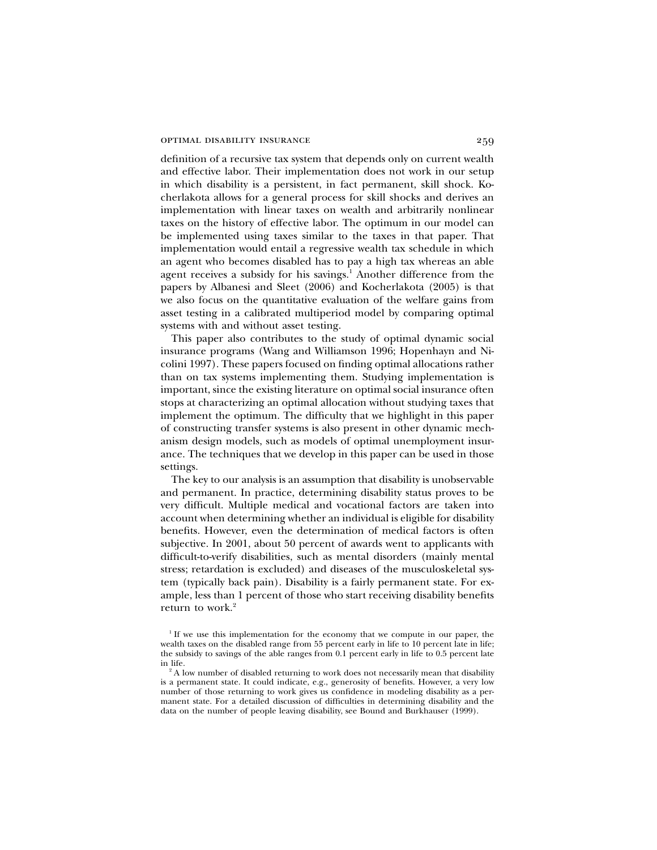definition of a recursive tax system that depends only on current wealth and effective labor. Their implementation does not work in our setup in which disability is a persistent, in fact permanent, skill shock. Kocherlakota allows for a general process for skill shocks and derives an implementation with linear taxes on wealth and arbitrarily nonlinear taxes on the history of effective labor. The optimum in our model can be implemented using taxes similar to the taxes in that paper. That implementation would entail a regressive wealth tax schedule in which an agent who becomes disabled has to pay a high tax whereas an able agent receives a subsidy for his savings.<sup>1</sup> Another difference from the papers by Albanesi and Sleet (2006) and Kocherlakota (2005) is that we also focus on the quantitative evaluation of the welfare gains from asset testing in a calibrated multiperiod model by comparing optimal systems with and without asset testing.

This paper also contributes to the study of optimal dynamic social insurance programs (Wang and Williamson 1996; Hopenhayn and Nicolini 1997). These papers focused on finding optimal allocations rather than on tax systems implementing them. Studying implementation is important, since the existing literature on optimal social insurance often stops at characterizing an optimal allocation without studying taxes that implement the optimum. The difficulty that we highlight in this paper of constructing transfer systems is also present in other dynamic mechanism design models, such as models of optimal unemployment insurance. The techniques that we develop in this paper can be used in those settings.

The key to our analysis is an assumption that disability is unobservable and permanent. In practice, determining disability status proves to be very difficult. Multiple medical and vocational factors are taken into account when determining whether an individual is eligible for disability benefits. However, even the determination of medical factors is often subjective. In 2001, about 50 percent of awards went to applicants with difficult-to-verify disabilities, such as mental disorders (mainly mental stress; retardation is excluded) and diseases of the musculoskeletal system (typically back pain). Disability is a fairly permanent state. For example, less than 1 percent of those who start receiving disability benefits return to work.<sup>2</sup>

<sup>1</sup> If we use this implementation for the economy that we compute in our paper, the wealth taxes on the disabled range from 55 percent early in life to 10 percent late in life; the subsidy to savings of the able ranges from 0.1 percent early in life to 0.5 percent late in life.

<sup>&</sup>lt;sup>2</sup> A low number of disabled returning to work does not necessarily mean that disability is a permanent state. It could indicate, e.g., generosity of benefits. However, a very low number of those returning to work gives us confidence in modeling disability as a permanent state. For a detailed discussion of difficulties in determining disability and the data on the number of people leaving disability, see Bound and Burkhauser (1999).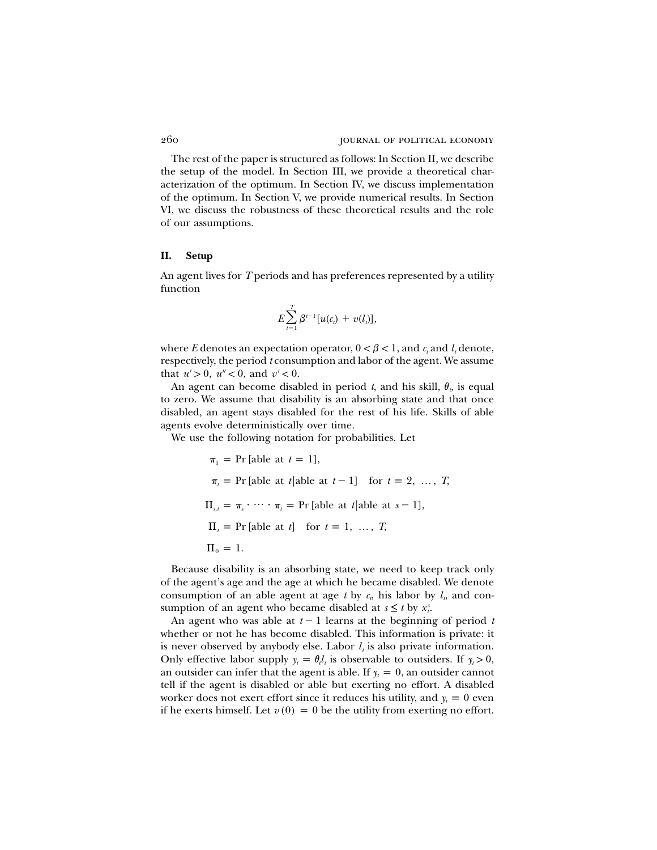The rest of the paper is structured as follows: In Section II, we describe the setup of the model. In Section III, we provide a theoretical characterization of the optimum. In Section IV, we discuss implementation of the optimum. In Section V, we provide numerical results. In Section VI, we discuss the robustness of these theoretical results and the role of our assumptions.

### **II. Setup**

An agent lives for *T* periods and has preferences represented by a utility function

$$
E\sum_{t=1}^T\beta^{t-1}[u(c_t)+v(l_t)],
$$

where *E* denotes an expectation operator,  $0 < \beta < 1$ , and  $c_t$  and  $l_t$  denote, respectively, the period *t* consumption and labor of the agent. We assume that  $u' > 0$ ,  $u'' < 0$ , and  $v' < 0$ .

An agent can become disabled in period  $t$ , and his skill,  $\theta_{\scriptscriptstyle \rho}$  is equal to zero. We assume that disability is an absorbing state and that once disabled, an agent stays disabled for the rest of his life. Skills of able agents evolve deterministically over time.

We use the following notation for probabilities. Let

$$
\pi_1 = \Pr[\text{able at } t = 1],
$$
  
\n
$$
\pi_t = \Pr[\text{able at } t | \text{able at } t - 1] \quad \text{for } t = 2, \dots, T,
$$
  
\n
$$
\Pi_{s,t} = \pi_s \cdot \dots \cdot \pi_t = \Pr[\text{able at } t | \text{able at } s - 1],
$$
  
\n
$$
\Pi_t = \Pr[\text{able at } t] \quad \text{for } t = 1, \dots, T,
$$
  
\n
$$
\Pi_0 = 1.
$$

Because disability is an absorbing state, we need to keep track only of the agent's age and the age at which he became disabled. We denote consumption of an able agent at age  $t$  by  $c<sub>p</sub>$  his labor by  $l<sub>p</sub>$  and consumption of an agent who became disabled at  $s \leq t$  by  $x_i^s$ .

An agent who was able at  $t-1$  learns at the beginning of period  $t$ whether or not he has become disabled. This information is private: it is never observed by anybody else. Labor  $l_t$  is also private information. Only effective labor supply  $y_t = \theta_t l_t$  is observable to outsiders. If  $y_t > 0$ , an outsider can infer that the agent is able. If  $y_t = 0$ , an outsider cannot tell if the agent is disabled or able but exerting no effort. A disabled worker does not exert effort since it reduces his utility, and  $y_t = 0$  even if he exerts himself. Let  $v(0) = 0$  be the utility from exerting no effort.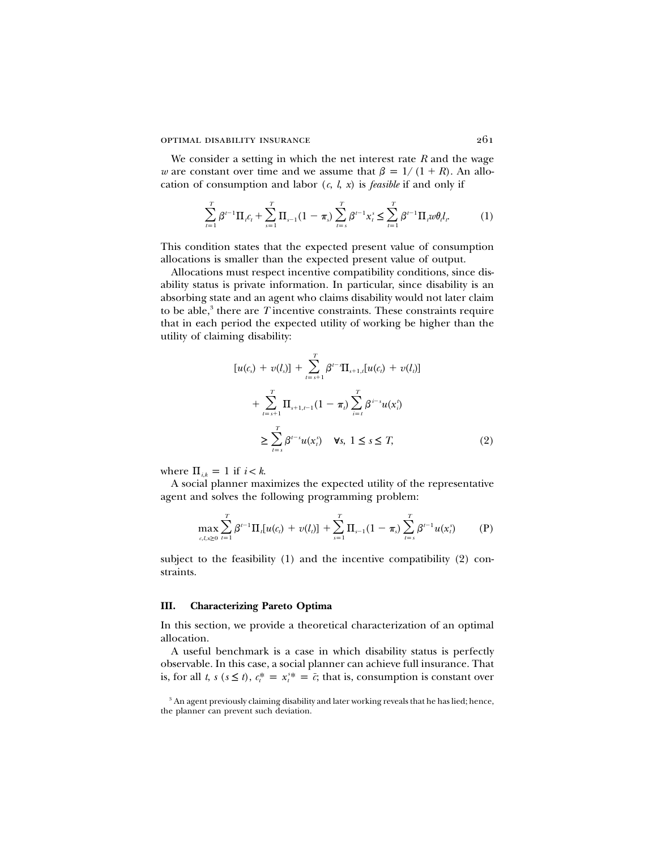We consider a setting in which the net interest rate *R* and the wage *w* are constant over time and we assume that  $\beta = 1/(1 + R)$ . An allocation of consumption and labor (*c*, *l*, *x*) is *feasible* if and only if

$$
\sum_{t=1}^{T} \beta^{t-1} \Pi_{t} c_{t} + \sum_{s=1}^{T} \Pi_{s-1} (1 - \pi_{s}) \sum_{t=s}^{T} \beta^{t-1} x_{t}^{s} \le \sum_{t=1}^{T} \beta^{t-1} \Pi_{t} w \theta_{t} d_{t} \tag{1}
$$

This condition states that the expected present value of consumption allocations is smaller than the expected present value of output.

Allocations must respect incentive compatibility conditions, since disability status is private information. In particular, since disability is an absorbing state and an agent who claims disability would not later claim to be able, $3$  there are *T* incentive constraints. These constraints require that in each period the expected utility of working be higher than the utility of claiming disability:

$$
[u(c_s) + v(l_s)] + \sum_{t=s+1}^{T} \beta^{t-s} \Pi_{s+1,t}[u(c_t) + v(l_t)]
$$
  
+ 
$$
\sum_{t=s+1}^{T} \Pi_{s+1,t-1} (1 - \pi_t) \sum_{i=t}^{T} \beta^{i-s} u(x_i')
$$
  

$$
\geq \sum_{t=s}^{T} \beta^{t-s} u(x_i^s) \quad \forall s, \ 1 \leq s \leq T,
$$
 (2)

where  $\Pi_{i,k} = 1$  if  $i < k$ .

A social planner maximizes the expected utility of the representative agent and solves the following programming problem:

$$
\max_{c,l,s\geq 0}\sum_{t=1}^T\beta^{t-1}\Pi_t[u(c_t)+v(l_t)]+\sum_{s=1}^T\Pi_{s-1}(1-\pi_s)\sum_{t=s}^T\beta^{t-1}u(x_t^s) \qquad (P)
$$

subject to the feasibility (1) and the incentive compatibility (2) constraints.

#### **III. Characterizing Pareto Optima**

In this section, we provide a theoretical characterization of an optimal allocation.

A useful benchmark is a case in which disability status is perfectly observable. In this case, a social planner can achieve full insurance. That is, for all *t*, *s* ( $s \le t$ ),  $c_i^* = x_i^{s*} = \bar{c}$ ; that is, consumption is constant over

<sup>&</sup>lt;sup>3</sup> An agent previously claiming disability and later working reveals that he has lied; hence, the planner can prevent such deviation.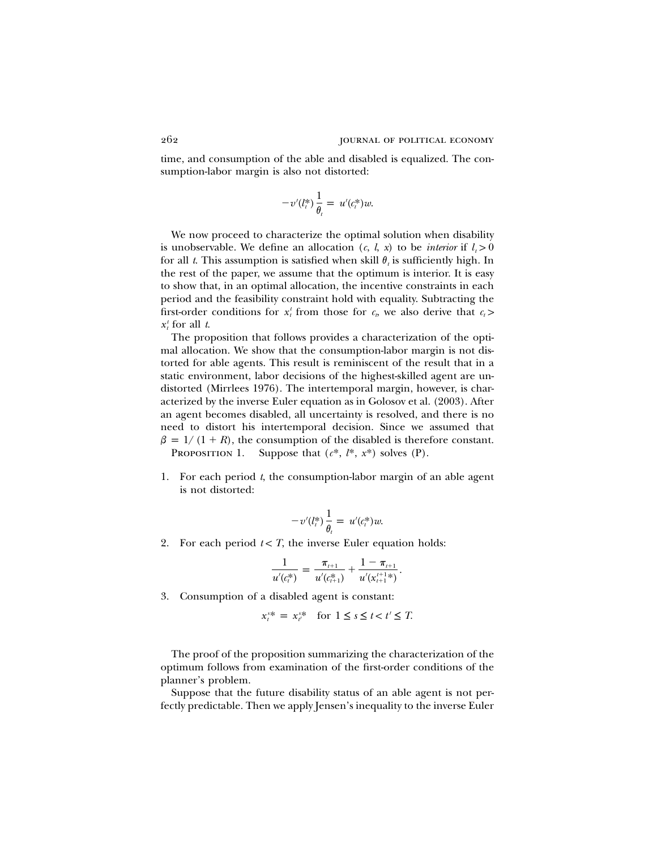time, and consumption of the able and disabled is equalized. The consumption-labor margin is also not distorted:

$$
-v'(l_t^*)\frac{1}{\theta_t} = u'(c_t^*)w.
$$

We now proceed to characterize the optimal solution when disability is unobservable. We define an allocation  $(c, l, x)$  to be *interior* if  $l_i > 0$ for all *t*. This assumption is satisfied when skill  $\theta_t$  is sufficiently high. In the rest of the paper, we assume that the optimum is interior. It is easy to show that, in an optimal allocation, the incentive constraints in each period and the feasibility constraint hold with equality. Subtracting the first-order conditions for  $x_t$ <sup>t</sup> from those for  $c_t$ , we also derive that  $c_t$  $x_t^t$  for all *t*.

The proposition that follows provides a characterization of the optimal allocation. We show that the consumption-labor margin is not distorted for able agents. This result is reminiscent of the result that in a static environment, labor decisions of the highest-skilled agent are undistorted (Mirrlees 1976). The intertemporal margin, however, is characterized by the inverse Euler equation as in Golosov et al. (2003). After an agent becomes disabled, all uncertainty is resolved, and there is no need to distort his intertemporal decision. Since we assumed that  $\beta = 1/(1 + R)$ , the consumption of the disabled is therefore constant. PROPOSITION 1. Suppose that  $(c^*, l^*, x^*)$  solves (P).

1. For each period *t*, the consumption-labor margin of an able agent is not distorted:

$$
-v'(l_t^*)\frac{1}{\theta_t} = u'(c_t^*)w.
$$

2. For each period  $t < T$ , the inverse Euler equation holds:

$$
\frac{1}{u'(c_i^*)} = \frac{\pi_{i+1}}{u'(c_{i+1}^*)} + \frac{1 - \pi_{i+1}}{u'(x_{i+1}^{i+1})}.
$$

3. Consumption of a disabled agent is constant:

$$
x_i^{s*} = x_{t'}^{s*} \quad \text{for } 1 \le s \le t < t' \le T.
$$

The proof of the proposition summarizing the characterization of the optimum follows from examination of the first-order conditions of the planner's problem.

Suppose that the future disability status of an able agent is not perfectly predictable. Then we apply Jensen's inequality to the inverse Euler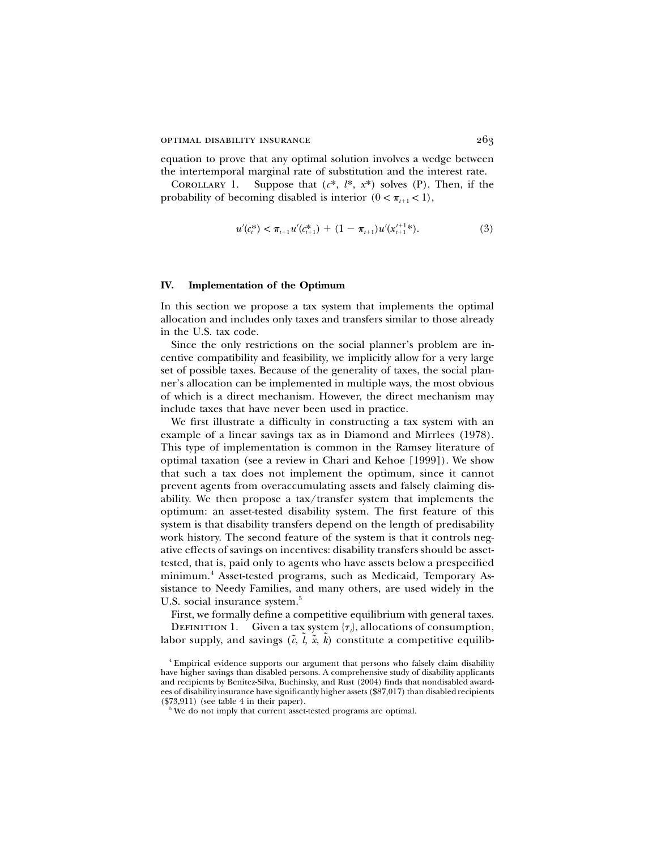equation to prove that any optimal solution involves a wedge between the intertemporal marginal rate of substitution and the interest rate.

COROLLARY 1. Suppose that  $(c^*, l^*, x^*)$  solves (P). Then, if the probability of becoming disabled is interior  $(0 < \pi_{t+1} < 1)$ ,

$$
u'(c_i^*) < \pi_{i+1} u'(c_{i+1}^*) + (1 - \pi_{i+1}) u'(x_{i+1}^{i+1})
$$
 (3)

## **IV. Implementation of the Optimum**

In this section we propose a tax system that implements the optimal allocation and includes only taxes and transfers similar to those already in the U.S. tax code.

Since the only restrictions on the social planner's problem are incentive compatibility and feasibility, we implicitly allow for a very large set of possible taxes. Because of the generality of taxes, the social planner's allocation can be implemented in multiple ways, the most obvious of which is a direct mechanism. However, the direct mechanism may include taxes that have never been used in practice.

We first illustrate a difficulty in constructing a tax system with an example of a linear savings tax as in Diamond and Mirrlees (1978). This type of implementation is common in the Ramsey literature of optimal taxation (see a review in Chari and Kehoe [1999]). We show that such a tax does not implement the optimum, since it cannot prevent agents from overaccumulating assets and falsely claiming disability. We then propose a tax/transfer system that implements the optimum: an asset-tested disability system. The first feature of this system is that disability transfers depend on the length of predisability work history. The second feature of the system is that it controls negative effects of savings on incentives: disability transfers should be assettested, that is, paid only to agents who have assets below a prespecified minimum.<sup>4</sup> Asset-tested programs, such as Medicaid, Temporary Assistance to Needy Families, and many others, are used widely in the U.S. social insurance system.<sup>5</sup>

First, we formally define a competitive equilibrium with general taxes. DEFINITION 1. Given a tax system  $\{\tau_i\}$ , allocations of consumption, labor supply, and savings  $(\tilde{c}, \tilde{l}, \tilde{x}, \tilde{k})$  constitute a competitive equilib-

<sup>4</sup> Empirical evidence supports our argument that persons who falsely claim disability have higher savings than disabled persons. A comprehensive study of disability applicants and recipients by Benitez-Silva, Buchinsky, and Rust (2004) finds that nondisabled awardees of disability insurance have significantly higher assets (\$87,017) than disabled recipients (\$73,911) (see table 4 in their paper).

<sup>&</sup>lt;sup>5</sup> We do not imply that current asset-tested programs are optimal.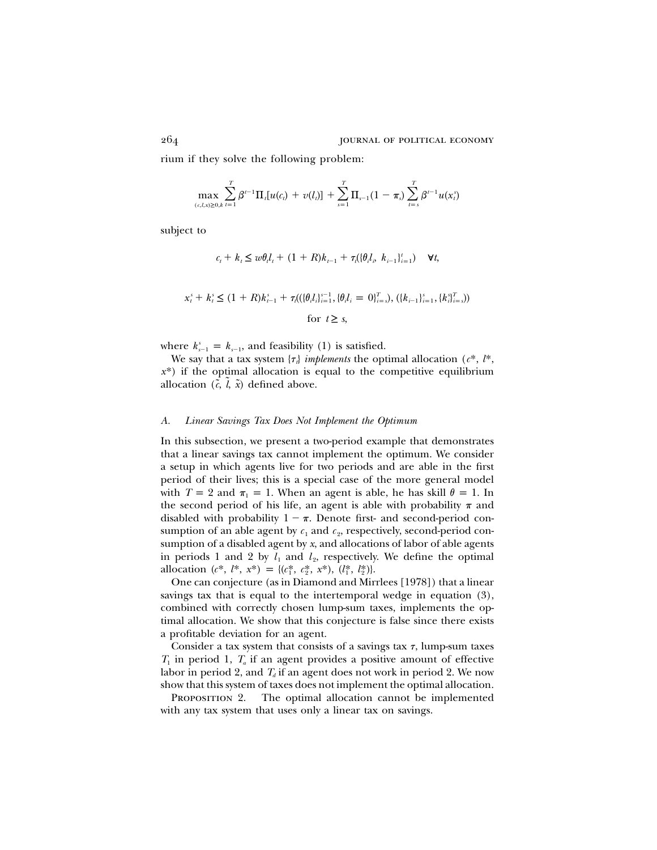rium if they solve the following problem:

$$
\max_{(c,l,x)\geq 0, k} \sum_{t=1}^T \beta^{t-1} \Pi_t [u(c_i) + v(l_i)] + \sum_{s=1}^T \Pi_{s-1} (1-\pi_s) \sum_{t=s}^T \beta^{t-1} u(x_i)
$$

subject to

$$
c_{t} + k_{t} \leq w\theta_{t}l_{t} + (1 + R)k_{t-1} + \tau_{t}(\{\theta_{i}l_{b}, k_{i-1}\}_{i=1}^{t}) \quad \forall t,
$$

$$
x_i^s + k_i^s \le (1 + R)k_{t-1}^s + \tau_l((\{\theta_i l_i\}_{i=1}^{s-1}, \{\theta_i l_i = 0\}_{i=s}^T), (\{k_{i-1}\}_{i=1}^s, \{k_i^s\}_{i=s}^T))
$$
  
for  $t \ge s$ ,

where  $k_{s-1}^s = k_{s-1}$ , and feasibility (1) is satisfied.

We say that a tax system  $\{\tau\}$  *implements* the optimal allocation ( $c^*$ ,  $l^*$ , *x*\*) if the optimal allocation is equal to the competitive equilibrium allocation  $(\tilde{c}, \tilde{k}, \tilde{x})$  defined above.

#### *A. Linear Savings Tax Does Not Implement the Optimum*

In this subsection, we present a two-period example that demonstrates that a linear savings tax cannot implement the optimum. We consider a setup in which agents live for two periods and are able in the first period of their lives; this is a special case of the more general model with  $T = 2$  and  $\pi_1 = 1$ . When an agent is able, he has skill  $\theta = 1$ . In the second period of his life, an agent is able with probability  $\pi$  and disabled with probability  $1 - \pi$ . Denote first- and second-period consumption of an able agent by  $c_1$  and  $c_2$ , respectively, second-period consumption of a disabled agent by *x*, and allocations of labor of able agents in periods 1 and 2 by  $l_1$  and  $l_2$ , respectively. We define the optimal allocation  $(c^*, l^*, x^*) = \{(c_1^*, c_2^*, x^*), (l_1^*, l_2^*)\}.$ 

One can conjecture (as in Diamond and Mirrlees [1978]) that a linear savings tax that is equal to the intertemporal wedge in equation (3), combined with correctly chosen lump-sum taxes, implements the optimal allocation. We show that this conjecture is false since there exists a profitable deviation for an agent.

Consider a tax system that consists of a savings tax  $\tau$ , lump-sum taxes  $T_1$  in period 1,  $T_a$  if an agent provides a positive amount of effective labor in period 2, and  $T_d$  if an agent does not work in period 2. We now show that this system of taxes does not implement the optimal allocation.

PROPOSITION 2. The optimal allocation cannot be implemented with any tax system that uses only a linear tax on savings.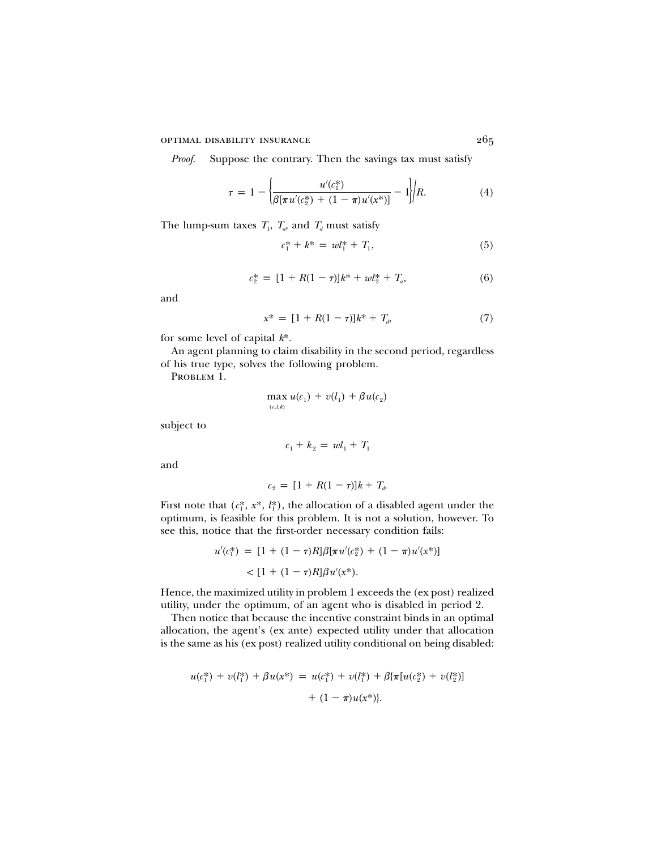*Proof*. Suppose the contrary. Then the savings tax must satisfy

$$
\tau = 1 - \left\{ \frac{u'(c_1^*)}{\beta[\pi u'(c_2^*) + (1-\pi)u'(x^*)]} - 1 \right\} / R. \tag{4}
$$

The lump-sum taxes  $T_1$ ,  $T_a$ , and  $T_d$  must satisfy

$$
c_1^* + k^* = w l_1^* + T_1, \tag{5}
$$

$$
c_2^* = [1 + R(1 - \tau)]k^* + w l_2^* + T_a, \qquad (6)
$$

and

$$
x^* = [1 + R(1 - \tau)]k^* + T_a \tag{7}
$$

for some level of capital *k*\*.

An agent planning to claim disability in the second period, regardless of his true type, solves the following problem.

PROBLEM 1.

$$
\max_{(c,l,k)} u(c_1) + v(l_1) + \beta u(c_2)
$$

subject to

$$
c_1 + k_2 = w l_1 + T_1
$$

and

$$
c_2 = [1 + R(1 - \tau)]k + T_d.
$$

First note that  $(c_1^*, x^*, l_1^*)$ , the allocation of a disabled agent under the optimum, is feasible for this problem. It is not a solution, however. To see this, notice that the first-order necessary condition fails:

$$
u'(c_1^*) = [1 + (1 - \tau)R]\beta[\pi u'(c_2^*) + (1 - \pi)u'(x^*)]
$$
  
< 
$$
< [1 + (1 - \tau)R]\beta u'(x^*).
$$

Hence, the maximized utility in problem 1 exceeds the (ex post) realized utility, under the optimum, of an agent who is disabled in period 2.

Then notice that because the incentive constraint binds in an optimal allocation, the agent's (ex ante) expected utility under that allocation is the same as his (ex post) realized utility conditional on being disabled:

$$
u(c_1^*) + v(l_1^*) + \beta u(x^*) = u(c_1^*) + v(l_1^*) + \beta \{\pi [u(c_2^*) + v(l_2^*)] + (1 - \pi)u(x^*)\}.
$$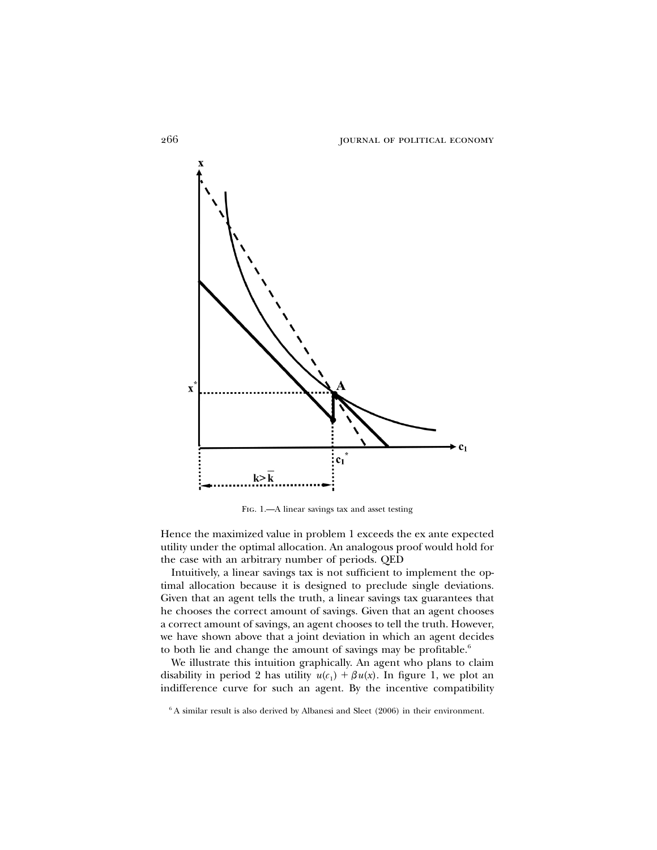

Fig. 1.—A linear savings tax and asset testing

Hence the maximized value in problem 1 exceeds the ex ante expected utility under the optimal allocation. An analogous proof would hold for the case with an arbitrary number of periods. QED

Intuitively, a linear savings tax is not sufficient to implement the optimal allocation because it is designed to preclude single deviations. Given that an agent tells the truth, a linear savings tax guarantees that he chooses the correct amount of savings. Given that an agent chooses a correct amount of savings, an agent chooses to tell the truth. However, we have shown above that a joint deviation in which an agent decides to both lie and change the amount of savings may be profitable.<sup>6</sup>

We illustrate this intuition graphically. An agent who plans to claim disability in period 2 has utility  $u(c_1) + \beta u(x)$ . In figure 1, we plot an indifference curve for such an agent. By the incentive compatibility

<sup>&</sup>lt;sup>6</sup> A similar result is also derived by Albanesi and Sleet (2006) in their environment.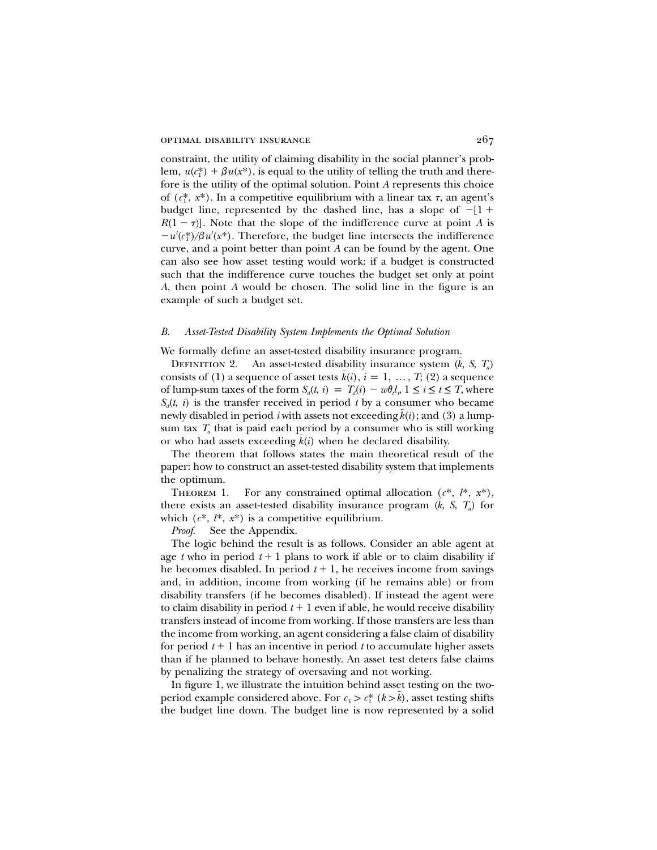constraint, the utility of claiming disability in the social planner's problem,  $u(c_1^*) + \beta u(x^*)$ , is equal to the utility of telling the truth and therefore is the utility of the optimal solution. Point *A* represents this choice of  $(c_1^*, x^*)$ . In a competitive equilibrium with a linear tax  $\tau$ , an agent's budget line, represented by the dashed line, has a slope of  $-[1 +$  $R(1 - \tau)$ . Note that the slope of the indifference curve at point *A* is  $-u'(c_1^*)/\beta u'(x^*)$ . Therefore, the budget line intersects the indifference curve, and a point better than point *A* can be found by the agent. One can also see how asset testing would work: if a budget is constructed such that the indifference curve touches the budget set only at point *A*, then point *A* would be chosen. The solid line in the figure is an example of such a budget set.

#### *B. Asset-Tested Disability System Implements the Optimal Solution*

We formally define an asset-tested disability insurance program.

DEFINITION 2. An asset-tested disability insurance system  $(\bar{k}, S, T_a)$ consists of (1) a sequence of asset tests  $\bar{k}(i)$ ,  $i = 1, ..., T$ , (2) a sequence of lump-sum taxes of the form  $S_d(t, i) = T_d(i) - w\theta_i l$ ,  $1 \le i \le T$ , where  $S_d(t, i)$  is the transfer received in period *t* by a consumer who became newly disabled in period  $i$  with assets not exceeding  $\bar{k}(i)$  ; and (3) a lumpsum tax  $T_a$  that is paid each period by a consumer who is still working or who had assets exceeding  $\bar{k}(i)$  when he declared disability.

The theorem that follows states the main theoretical result of the paper: how to construct an asset-tested disability system that implements the optimum.

THEOREM 1. For any constrained optimal allocation  $(c^*, l^*, x^*)$ , there exists an asset-tested disability insurance program  $(\bar{k}, S, T_a)$  for which  $(c^*, l^*, x^*)$  is a competitive equilibrium.

*Proof*. See the Appendix.

The logic behind the result is as follows. Consider an able agent at age  $t$  who in period  $t+1$  plans to work if able or to claim disability if he becomes disabled. In period  $t + 1$ , he receives income from savings and, in addition, income from working (if he remains able) or from disability transfers (if he becomes disabled). If instead the agent were to claim disability in period  $t + 1$  even if able, he would receive disability transfers instead of income from working. If those transfers are less than the income from working, an agent considering a false claim of disability for period  $t + 1$  has an incentive in period  $t$  to accumulate higher assets than if he planned to behave honestly. An asset test deters false claims by penalizing the strategy of oversaving and not working.

In figure 1, we illustrate the intuition behind asset testing on the twoperiod example considered above. For  $c_1 > c_1^*$  ( $k > k$ ), asset testing shifts the budget line down. The budget line is now represented by a solid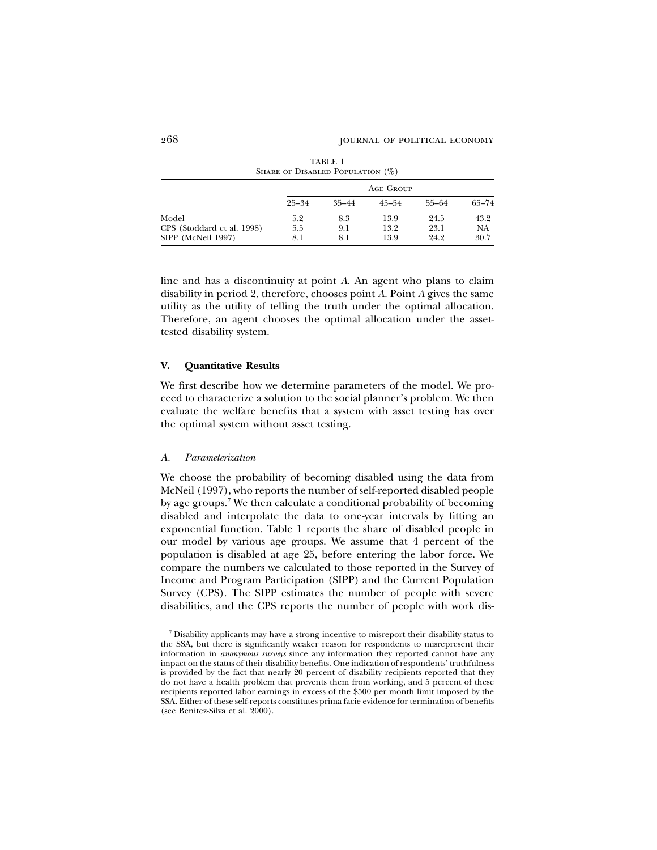| SHARE OF DISABLED POPULATION (70)                |                  |            |              |              |            |
|--------------------------------------------------|------------------|------------|--------------|--------------|------------|
|                                                  | <b>AGE GROUP</b> |            |              |              |            |
|                                                  | $95 - 34$        | $35 - 44$  | $45 - 54$    | 55-64        | $65 - 74$  |
| Model                                            | 5.2              | 8.3        | 13.9         | 24.5         | 43.2       |
| CPS (Stoddard et al. 1998)<br>SIPP (McNeil 1997) | 5.5<br>8.1       | 9.1<br>8.1 | 13.2<br>13.9 | 23.1<br>24.2 | NA<br>30.7 |

TABLE 1 Share of Disabled Population (%)

line and has a discontinuity at point *A*. An agent who plans to claim disability in period 2, therefore, chooses point *A*. Point *A* gives the same utility as the utility of telling the truth under the optimal allocation. Therefore, an agent chooses the optimal allocation under the assettested disability system.

#### **V. Quantitative Results**

We first describe how we determine parameters of the model. We proceed to characterize a solution to the social planner's problem. We then evaluate the welfare benefits that a system with asset testing has over the optimal system without asset testing.

#### *A. Parameterization*

We choose the probability of becoming disabled using the data from McNeil (1997), who reports the number of self-reported disabled people by age groups.<sup>7</sup> We then calculate a conditional probability of becoming disabled and interpolate the data to one-year intervals by fitting an exponential function. Table 1 reports the share of disabled people in our model by various age groups. We assume that 4 percent of the population is disabled at age 25, before entering the labor force. We compare the numbers we calculated to those reported in the Survey of Income and Program Participation (SIPP) and the Current Population Survey (CPS). The SIPP estimates the number of people with severe disabilities, and the CPS reports the number of people with work dis-

<sup>7</sup> Disability applicants may have a strong incentive to misreport their disability status to the SSA, but there is significantly weaker reason for respondents to misrepresent their information in *anonymous surveys* since any information they reported cannot have any impact on the status of their disability benefits. One indication of respondents' truthfulness is provided by the fact that nearly 20 percent of disability recipients reported that they do not have a health problem that prevents them from working, and 5 percent of these recipients reported labor earnings in excess of the \$500 per month limit imposed by the SSA. Either of these self-reports constitutes prima facie evidence for termination of benefits (see Benitez-Silva et al. 2000).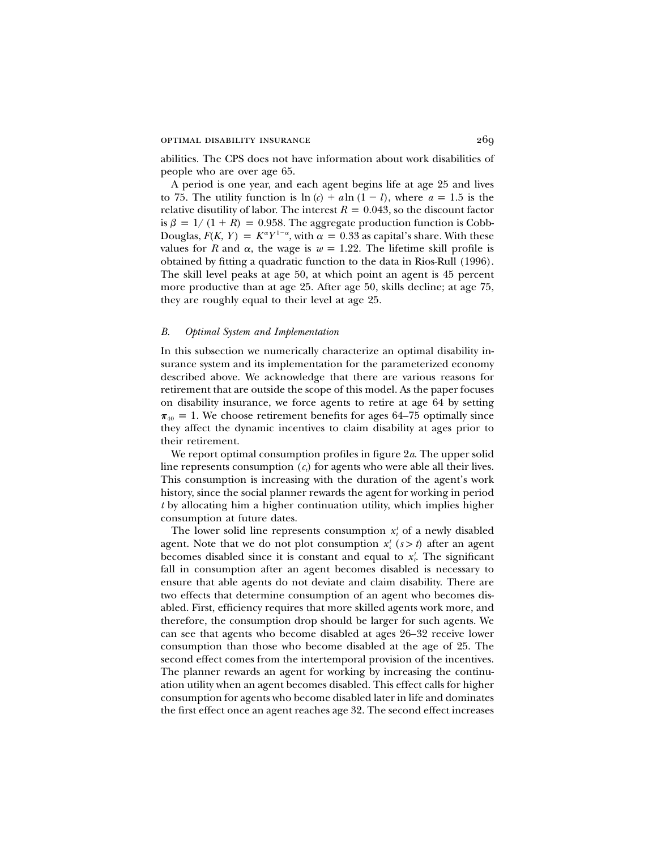abilities. The CPS does not have information about work disabilities of people who are over age 65.

A period is one year, and each agent begins life at age 25 and lives to 75. The utility function is  $\ln (c) + a \ln (1 - l)$ , where  $a = 1.5$  is the relative disutility of labor. The interest  $R = 0.043$ , so the discount factor is  $\beta = 1/(1 + R) = 0.958$ . The aggregate production function is Cobb-Douglas,  $F(K, Y) = K^{\alpha} Y^{1-\alpha}$ , with  $\alpha = 0.33$  as capital's share. With these values for *R* and  $\alpha$ , the wage is  $w = 1.22$ . The lifetime skill profile is obtained by fitting a quadratic function to the data in Rios-Rull (1996). The skill level peaks at age 50, at which point an agent is 45 percent more productive than at age 25. After age 50, skills decline; at age 75, they are roughly equal to their level at age 25.

### *B. Optimal System and Implementation*

In this subsection we numerically characterize an optimal disability insurance system and its implementation for the parameterized economy described above. We acknowledge that there are various reasons for retirement that are outside the scope of this model. As the paper focuses on disability insurance, we force agents to retire at age 64 by setting  $\pi_{40} = 1$ . We choose retirement benefits for ages 64–75 optimally since they affect the dynamic incentives to claim disability at ages prior to their retirement.

We report optimal consumption profiles in figure 2*a*. The upper solid line represents consumption  $(c_i)$  for agents who were able all their lives. This consumption is increasing with the duration of the agent's work history, since the social planner rewards the agent for working in period *t* by allocating him a higher continuation utility, which implies higher consumption at future dates.

The lower solid line represents consumption  $x_t$  of a newly disabled agent. Note that we do not plot consumption  $x_s^t$  ( $s > t$ ) after an agent becomes disabled since it is constant and equal to  $x_t^t$ . The significant fall in consumption after an agent becomes disabled is necessary to ensure that able agents do not deviate and claim disability. There are two effects that determine consumption of an agent who becomes disabled. First, efficiency requires that more skilled agents work more, and therefore, the consumption drop should be larger for such agents. We can see that agents who become disabled at ages 26–32 receive lower consumption than those who become disabled at the age of 25. The second effect comes from the intertemporal provision of the incentives. The planner rewards an agent for working by increasing the continuation utility when an agent becomes disabled. This effect calls for higher consumption for agents who become disabled later in life and dominates the first effect once an agent reaches age 32. The second effect increases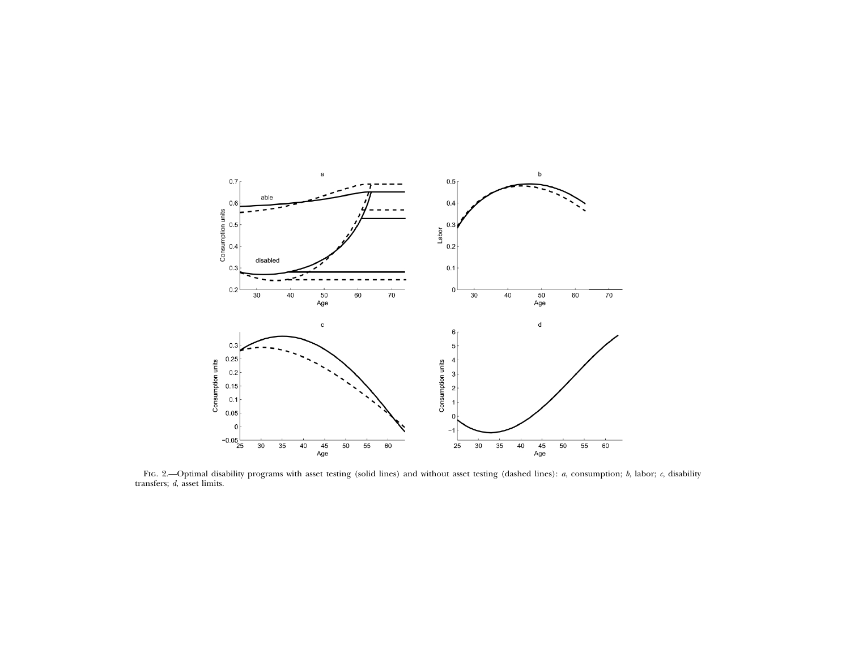

Fig. 2.—Optimal disability programs with asset testing (solid lines) and without asset testing (dashed lines): *<sup>a</sup>*, consumption; *b*, labor; *<sup>c</sup>*, disability transfers; *d*, asset limits.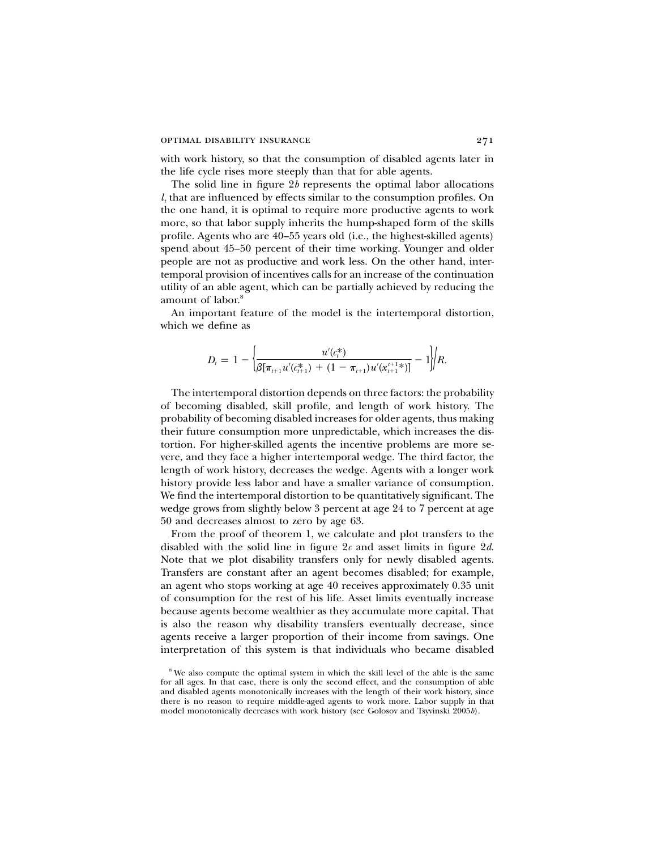with work history, so that the consumption of disabled agents later in the life cycle rises more steeply than that for able agents.

The solid line in figure 2*b* represents the optimal labor allocations  $l_t$  that are influenced by effects similar to the consumption profiles. On the one hand, it is optimal to require more productive agents to work more, so that labor supply inherits the hump-shaped form of the skills profile. Agents who are 40–55 years old (i.e., the highest-skilled agents) spend about 45–50 percent of their time working. Younger and older people are not as productive and work less. On the other hand, intertemporal provision of incentives calls for an increase of the continuation utility of an able agent, which can be partially achieved by reducing the amount of labor.<sup>8</sup>

An important feature of the model is the intertemporal distortion, which we define as

$$
D_{\iota} = 1 - \left\{ \frac{u'(c_{\iota}^{*})}{\beta[\pi_{\iota+1}u'(c_{\iota+1}^{*}) + (1 - \pi_{\iota+1})u'(x_{\iota+1}^{\iota+1})]} - 1 \right\} / R.
$$

The intertemporal distortion depends on three factors: the probability of becoming disabled, skill profile, and length of work history. The probability of becoming disabled increases for older agents, thus making their future consumption more unpredictable, which increases the distortion. For higher-skilled agents the incentive problems are more severe, and they face a higher intertemporal wedge. The third factor, the length of work history, decreases the wedge. Agents with a longer work history provide less labor and have a smaller variance of consumption. We find the intertemporal distortion to be quantitatively significant. The wedge grows from slightly below 3 percent at age 24 to 7 percent at age 50 and decreases almost to zero by age 63.

From the proof of theorem 1, we calculate and plot transfers to the disabled with the solid line in figure 2*c* and asset limits in figure 2*d*. Note that we plot disability transfers only for newly disabled agents. Transfers are constant after an agent becomes disabled; for example, an agent who stops working at age 40 receives approximately 0.35 unit of consumption for the rest of his life. Asset limits eventually increase because agents become wealthier as they accumulate more capital. That is also the reason why disability transfers eventually decrease, since agents receive a larger proportion of their income from savings. One interpretation of this system is that individuals who became disabled

<sup>&</sup>lt;sup>8</sup> We also compute the optimal system in which the skill level of the able is the same for all ages. In that case, there is only the second effect, and the consumption of able and disabled agents monotonically increases with the length of their work history, since there is no reason to require middle-aged agents to work more. Labor supply in that model monotonically decreases with work history (see Golosov and Tsyvinski 2005*b*).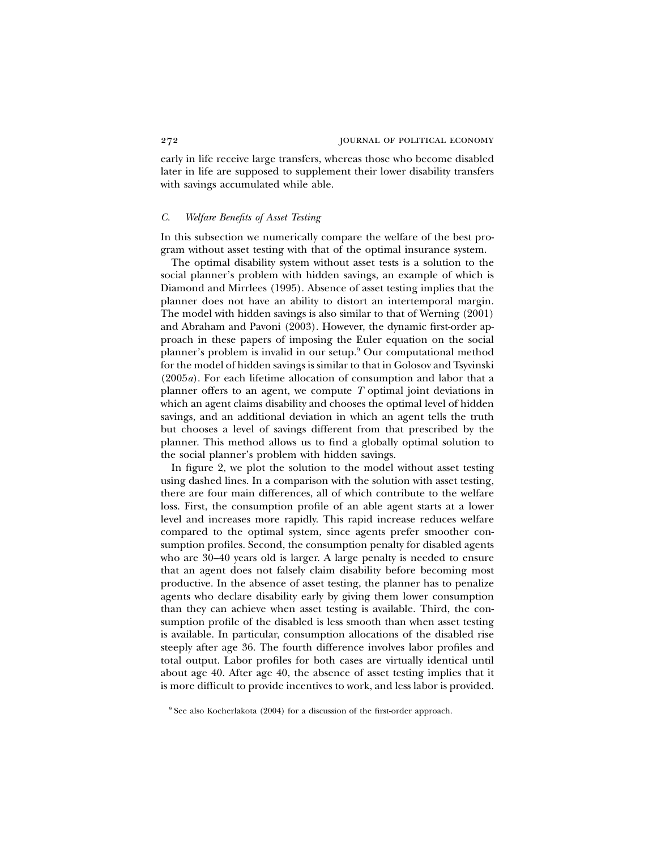early in life receive large transfers, whereas those who become disabled later in life are supposed to supplement their lower disability transfers with savings accumulated while able.

## *C. Welfare Benefits of Asset Testing*

In this subsection we numerically compare the welfare of the best program without asset testing with that of the optimal insurance system.

The optimal disability system without asset tests is a solution to the social planner's problem with hidden savings, an example of which is Diamond and Mirrlees (1995). Absence of asset testing implies that the planner does not have an ability to distort an intertemporal margin. The model with hidden savings is also similar to that of Werning (2001) and Abraham and Pavoni (2003). However, the dynamic first-order approach in these papers of imposing the Euler equation on the social planner's problem is invalid in our setup.<sup>9</sup> Our computational method for the model of hidden savings is similar to that in Golosov and Tsyvinski (2005*a*). For each lifetime allocation of consumption and labor that a planner offers to an agent, we compute *T* optimal joint deviations in which an agent claims disability and chooses the optimal level of hidden savings, and an additional deviation in which an agent tells the truth but chooses a level of savings different from that prescribed by the planner. This method allows us to find a globally optimal solution to the social planner's problem with hidden savings.

In figure 2, we plot the solution to the model without asset testing using dashed lines. In a comparison with the solution with asset testing, there are four main differences, all of which contribute to the welfare loss. First, the consumption profile of an able agent starts at a lower level and increases more rapidly. This rapid increase reduces welfare compared to the optimal system, since agents prefer smoother consumption profiles. Second, the consumption penalty for disabled agents who are 30–40 years old is larger. A large penalty is needed to ensure that an agent does not falsely claim disability before becoming most productive. In the absence of asset testing, the planner has to penalize agents who declare disability early by giving them lower consumption than they can achieve when asset testing is available. Third, the consumption profile of the disabled is less smooth than when asset testing is available. In particular, consumption allocations of the disabled rise steeply after age 36. The fourth difference involves labor profiles and total output. Labor profiles for both cases are virtually identical until about age 40. After age 40, the absence of asset testing implies that it is more difficult to provide incentives to work, and less labor is provided.

<sup>&</sup>lt;sup>9</sup> See also Kocherlakota (2004) for a discussion of the first-order approach.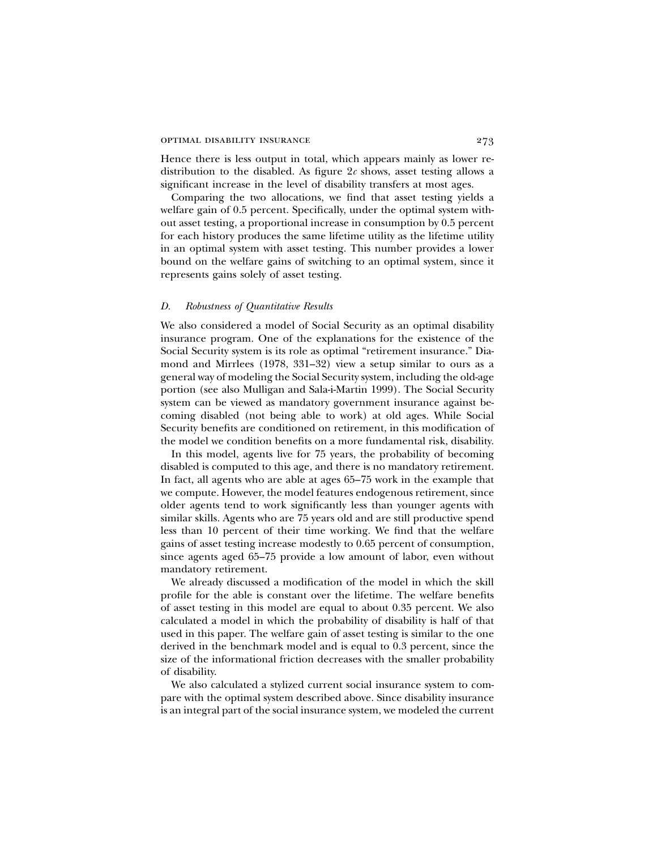Hence there is less output in total, which appears mainly as lower redistribution to the disabled. As figure 2*c* shows, asset testing allows a significant increase in the level of disability transfers at most ages.

Comparing the two allocations, we find that asset testing yields a welfare gain of 0.5 percent. Specifically, under the optimal system without asset testing, a proportional increase in consumption by 0.5 percent for each history produces the same lifetime utility as the lifetime utility in an optimal system with asset testing. This number provides a lower bound on the welfare gains of switching to an optimal system, since it represents gains solely of asset testing.

## *D. Robustness of Quantitative Results*

We also considered a model of Social Security as an optimal disability insurance program. One of the explanations for the existence of the Social Security system is its role as optimal "retirement insurance." Diamond and Mirrlees (1978, 331–32) view a setup similar to ours as a general way of modeling the Social Security system, including the old-age portion (see also Mulligan and Sala-i-Martin 1999). The Social Security system can be viewed as mandatory government insurance against becoming disabled (not being able to work) at old ages. While Social Security benefits are conditioned on retirement, in this modification of the model we condition benefits on a more fundamental risk, disability.

In this model, agents live for 75 years, the probability of becoming disabled is computed to this age, and there is no mandatory retirement. In fact, all agents who are able at ages 65–75 work in the example that we compute. However, the model features endogenous retirement, since older agents tend to work significantly less than younger agents with similar skills. Agents who are 75 years old and are still productive spend less than 10 percent of their time working. We find that the welfare gains of asset testing increase modestly to 0.65 percent of consumption, since agents aged 65–75 provide a low amount of labor, even without mandatory retirement.

We already discussed a modification of the model in which the skill profile for the able is constant over the lifetime. The welfare benefits of asset testing in this model are equal to about 0.35 percent. We also calculated a model in which the probability of disability is half of that used in this paper. The welfare gain of asset testing is similar to the one derived in the benchmark model and is equal to 0.3 percent, since the size of the informational friction decreases with the smaller probability of disability.

We also calculated a stylized current social insurance system to compare with the optimal system described above. Since disability insurance is an integral part of the social insurance system, we modeled the current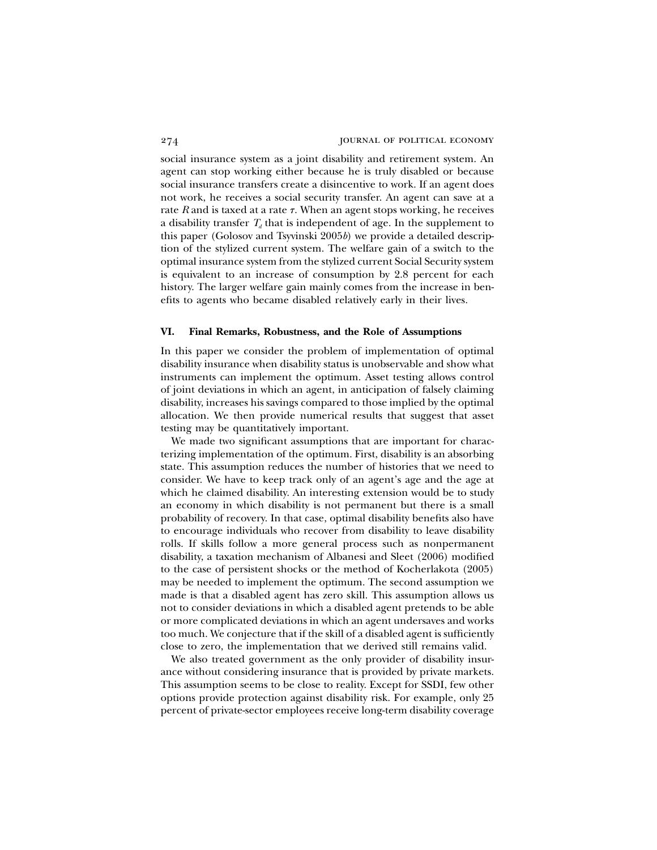social insurance system as a joint disability and retirement system. An agent can stop working either because he is truly disabled or because social insurance transfers create a disincentive to work. If an agent does not work, he receives a social security transfer. An agent can save at a rate  $R$  and is taxed at a rate  $\tau$ . When an agent stops working, he receives a disability transfer  $T_d$  that is independent of age. In the supplement to this paper (Golosov and Tsyvinski 2005*b*) we provide a detailed description of the stylized current system. The welfare gain of a switch to the optimal insurance system from the stylized current Social Security system is equivalent to an increase of consumption by 2.8 percent for each history. The larger welfare gain mainly comes from the increase in benefits to agents who became disabled relatively early in their lives.

#### **VI. Final Remarks, Robustness, and the Role of Assumptions**

In this paper we consider the problem of implementation of optimal disability insurance when disability status is unobservable and show what instruments can implement the optimum. Asset testing allows control of joint deviations in which an agent, in anticipation of falsely claiming disability, increases his savings compared to those implied by the optimal allocation. We then provide numerical results that suggest that asset testing may be quantitatively important.

We made two significant assumptions that are important for characterizing implementation of the optimum. First, disability is an absorbing state. This assumption reduces the number of histories that we need to consider. We have to keep track only of an agent's age and the age at which he claimed disability. An interesting extension would be to study an economy in which disability is not permanent but there is a small probability of recovery. In that case, optimal disability benefits also have to encourage individuals who recover from disability to leave disability rolls. If skills follow a more general process such as nonpermanent disability, a taxation mechanism of Albanesi and Sleet (2006) modified to the case of persistent shocks or the method of Kocherlakota (2005) may be needed to implement the optimum. The second assumption we made is that a disabled agent has zero skill. This assumption allows us not to consider deviations in which a disabled agent pretends to be able or more complicated deviations in which an agent undersaves and works too much. We conjecture that if the skill of a disabled agent is sufficiently close to zero, the implementation that we derived still remains valid.

We also treated government as the only provider of disability insurance without considering insurance that is provided by private markets. This assumption seems to be close to reality. Except for SSDI, few other options provide protection against disability risk. For example, only 25 percent of private-sector employees receive long-term disability coverage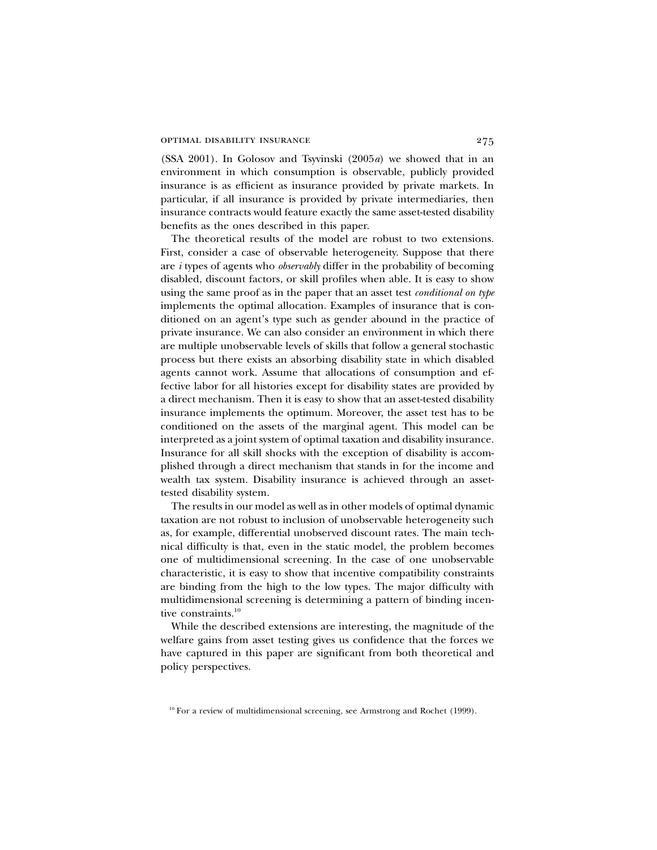(SSA 2001). In Golosov and Tsyvinski (2005*a*) we showed that in an environment in which consumption is observable, publicly provided insurance is as efficient as insurance provided by private markets. In particular, if all insurance is provided by private intermediaries, then insurance contracts would feature exactly the same asset-tested disability benefits as the ones described in this paper.

The theoretical results of the model are robust to two extensions. First, consider a case of observable heterogeneity. Suppose that there are *i* types of agents who *observably* differ in the probability of becoming disabled, discount factors, or skill profiles when able. It is easy to show using the same proof as in the paper that an asset test *conditional on type* implements the optimal allocation. Examples of insurance that is conditioned on an agent's type such as gender abound in the practice of private insurance. We can also consider an environment in which there are multiple unobservable levels of skills that follow a general stochastic process but there exists an absorbing disability state in which disabled agents cannot work. Assume that allocations of consumption and effective labor for all histories except for disability states are provided by a direct mechanism. Then it is easy to show that an asset-tested disability insurance implements the optimum. Moreover, the asset test has to be conditioned on the assets of the marginal agent. This model can be interpreted as a joint system of optimal taxation and disability insurance. Insurance for all skill shocks with the exception of disability is accomplished through a direct mechanism that stands in for the income and wealth tax system. Disability insurance is achieved through an assettested disability system.

The results in our model as well as in other models of optimal dynamic taxation are not robust to inclusion of unobservable heterogeneity such as, for example, differential unobserved discount rates. The main technical difficulty is that, even in the static model, the problem becomes one of multidimensional screening. In the case of one unobservable characteristic, it is easy to show that incentive compatibility constraints are binding from the high to the low types. The major difficulty with multidimensional screening is determining a pattern of binding incentive constraints.<sup>10</sup>

While the described extensions are interesting, the magnitude of the welfare gains from asset testing gives us confidence that the forces we have captured in this paper are significant from both theoretical and policy perspectives.

 $10$  For a review of multidimensional screening, see Armstrong and Rochet (1999).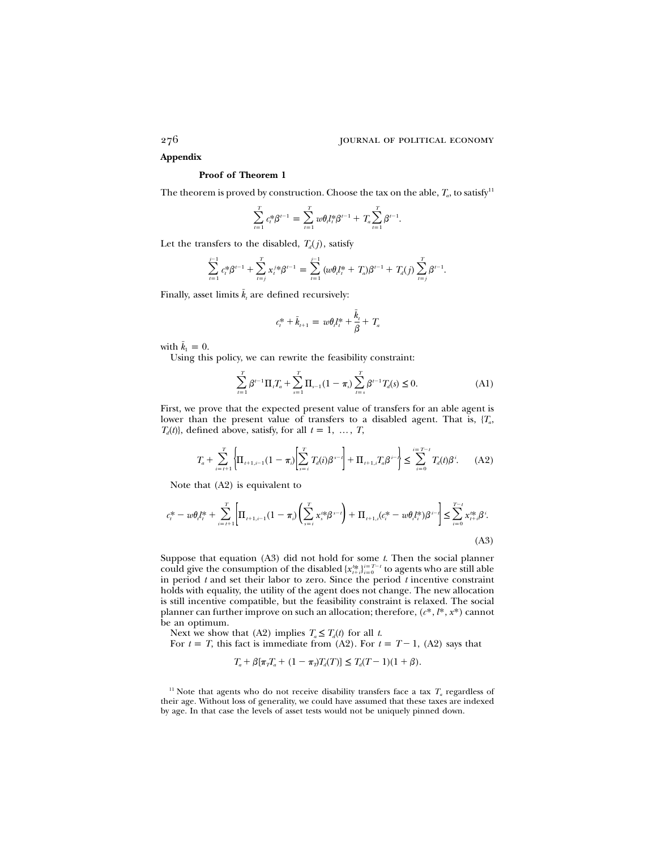**Appendix**

#### **Proof of Theorem 1**

The theorem is proved by construction. Choose the tax on the able,  $T_a$ , to satisfy<sup>11</sup>

$$
\sum_{t=1}^T c_t^* \beta^{t-1} = \sum_{t=1}^T w \theta_t l_t^* \beta^{t-1} + T_a \sum_{t=1}^T \beta^{t-1}.
$$

Let the transfers to the disabled,  $T_d(j)$ , satisfy

$$
\sum_{t=1}^{j-1} c_t^* \beta^{t-1} + \sum_{t=j}^T x_t^{j*} \beta^{t-1} = \sum_{t=1}^{j-1} (w \theta_t l_t^* + T_a) \beta^{t-1} + T_d(j) \sum_{t=j}^T \beta^{t-1}.
$$

Finally, asset limits  $\bar{k}_\iota$  are defined recursively:

$$
c_t^* + \bar{k}_{t+1} = w\theta_t l_t^* + \frac{\bar{k}_t}{\beta} + T_a
$$

with  $\bar{k}_1 = 0$ .

Using this policy, we can rewrite the feasibility constraint:

$$
\sum_{t=1}^{T} \beta^{t-1} \Pi_{t} T_{a} + \sum_{s=1}^{T} \Pi_{s-1} (1 - \pi_{s}) \sum_{t=s}^{T} \beta^{t-1} T_{d}(s) \leq 0.
$$
\n(A1)

First, we prove that the expected present value of transfers for an able agent is lower than the present value of transfers to a disabled agent. That is,  ${T_a}$ ,  $T_d(t)$ , defined above, satisfy, for all  $t = 1, ..., T$ ,

$$
T_a + \sum_{i=t+1}^T \left\{ \Pi_{t+1,i-1} (1 - \pi_i) \left[ \sum_{s=i}^T T_a(i) \beta^{s-t} \right] + \Pi_{t+1,i} T_a \beta^{i-t} \right\} \le \sum_{i=0}^{i=T-t} T_a(t) \beta^i.
$$
 (A2)

Note that (A2) is equivalent to

$$
c_i^* - w\theta_i l_i^* + \sum_{i=t+1}^T \left[ \Pi_{i+1,i-1} (1-\pi_i) \left( \sum_{s=i}^T x_s^{is} \beta^{s-i} \right) + \Pi_{i+1,i} (c_i^* - w\theta_i l_i^*) \beta^{i-i} \right] \le \sum_{i=0}^{T-t} x_{i+i}^{is} \beta^i.
$$
\n(A3)

Suppose that equation (A3) did not hold for some *t*. Then the social planner could give the consumption of the disabled  $\{x_{t+i}^{t*}\}_{i=0}^{i=T-t}$  to agents who are still able in period *t* and set their labor to zero. Since the period *t* incentive constraint holds with equality, the utility of the agent does not change. The new allocation is still incentive compatible, but the feasibility constraint is relaxed. The social planner can further improve on such an allocation; therefore,  $(c^*, l^*, x^*)$  cannot be an optimum.

Next we show that (A2) implies  $T_a \leq T_d(t)$  for all *t*.

For  $t = T$ , this fact is immediate from (A2). For  $t = T - 1$ , (A2) says that

$$
T_a + \beta[\pi_1 T_a + (1 - \pi_2) T_a(T)] \leq T_a (T - 1)(1 + \beta).
$$

<sup>11</sup> Note that agents who do not receive disability transfers face a tax  $T_a$  regardless of their age. Without loss of generality, we could have assumed that these taxes are indexed by age. In that case the levels of asset tests would not be uniquely pinned down.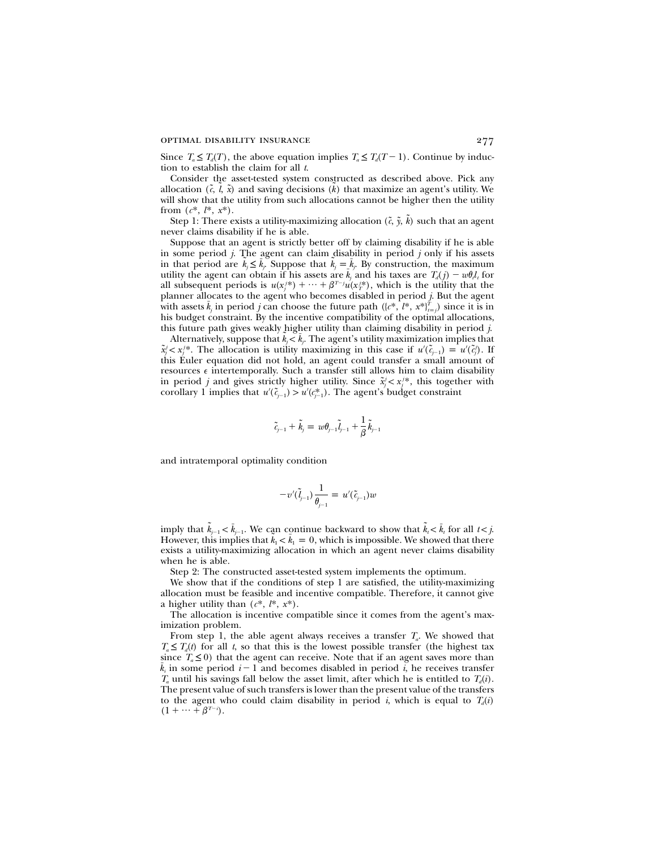Since  $T_a \leq T_a(T)$ , the above equation implies  $T_a \leq T_a(T-1)$ . Continue by induction to establish the claim for all *t*.

Consider the asset-tested system constructed as described above. Pick any allocation  $(\tilde{c}, \tilde{l}, \tilde{x})$  and saving decisions  $(k)$  that maximize an agent's utility. We will show that the utility from such allocations cannot be higher then the utility from  $(c^*, l^*, x^*)$ .

Step 1: There exists a utility-maximizing allocation  $(\tilde{c}, \tilde{y}, k)$  such that an agent never claims disability if he is able.

Suppose that an agent is strictly better off by claiming disability if he is able in some period *j*. The agent can claim disability in period *j* only if his assets in that period are  $\tilde{k}_i \leq \tilde{k}_i$ . Suppose that  $\tilde{k}_i = \tilde{k}_i$ . By construction, the maximum utility the agent can obtain if his assets are  $\bar{k}_j$  and his taxes are  $T_d(j) - w\theta_i l_i$  for all subsequent periods is  $u(x_j^{j*}) + \cdots + \beta^{T-j} u(x_T^{j*})$ , which is the utility that the planner allocates to the agent who becomes disabled in period *j*. But the agent with assets  $\bar{k}_i$  in period *j* can choose the future path  $({c^*, \ell^*, x^*})_{i=j}^T$  since it is in his budget constraint. By the incentive compatibility of the optimal allocations, this future path gives weakly higher utility than claiming disability in period *j*.

Alternatively, suppose that  $k_i < \overline{k_i}$ . The agent's utility maximization implies that  $\tilde{x}_i^j < x_i^{j*}$ . The allocation is utility maximizing in this case if  $u'(\tilde{c}_{i-1}) = u'(\tilde{c}_i^j)$ . If this Euler equation did not hold, an agent could transfer a small amount of resources  $\epsilon$  intertemporally. Such a transfer still allows him to claim disability in period *j* and gives strictly higher utility. Since  $\tilde{x}_i^j < x_i^{j*}$ , this together with corollary 1 implies that  $u'(\tilde{c}_{j-1}) > u'(c_{j-1}^*)$ . The agent's budget constraint

$$
\tilde{c}_{j-1}+\tilde{k}_j=w\theta_{j-1}\tilde{l}_{j-1}+\frac{1}{\beta}\tilde{k}_{j-1}
$$

and intratemporal optimality condition

$$
-v'(\tilde l_{j-1})\frac{1}{\theta_{j-1}}=u'(\tilde c_{j-1})w
$$

imply that  $k_{j-1} < \bar{k}_{j-1}$ . We can continue backward to show that  $\tilde{k}_i < \bar{k}_i$  for all  $t < j$ . However, this implies that  $k_1 < \bar{k}_1 = 0$ , which is impossible. We showed that there exists a utility-maximizing allocation in which an agent never claims disability when he is able.

Step 2: The constructed asset-tested system implements the optimum.

We show that if the conditions of step 1 are satisfied, the utility-maximizing allocation must be feasible and incentive compatible. Therefore, it cannot give a higher utility than  $(c^*, l^*, x^*)$ .

The allocation is incentive compatible since it comes from the agent's maximization problem.

From step 1, the able agent always receives a transfer  $T_a$ . We showed that  $T_a \leq T_a(t)$  for all *t*, so that this is the lowest possible transfer (the highest tax since  $T_a \leq 0$ ) that the agent can receive. Note that if an agent saves more than  $\bar{k}_i$  in some period  $i-1$  and becomes disabled in period  $\bar{i}$ , he receives transfer  $T_a$  until his savings fall below the asset limit, after which he is entitled to  $T_a(i)$ . The present value of such transfers is lower than the present value of the transfers to the agent who could claim disability in period *i*, which is equal to  $T_d(i)$  $(1 + \cdots + \beta^{T-i}).$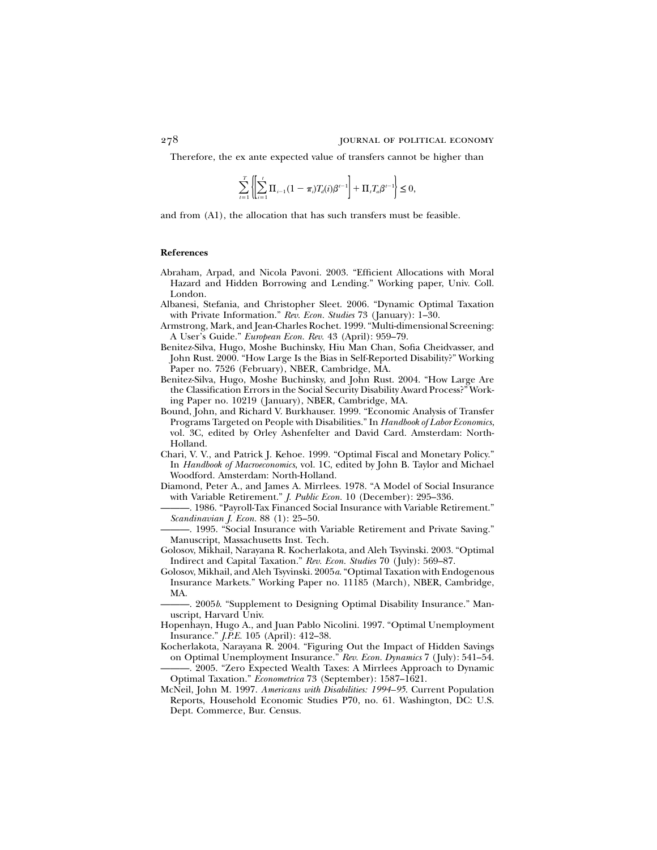Therefore, the ex ante expected value of transfers cannot be higher than

$$
\sum_{t=1}^T \left\{ \left[ \sum_{i=1}^t \Pi_{i-1} (1-\pi_i) T_d(i) \beta^{t-1} \right] + \Pi_t T_a \beta^{t-1} \right\} \leq 0,
$$

and from (A1), the allocation that has such transfers must be feasible.

#### **References**

- Abraham, Arpad, and Nicola Pavoni. 2003. "Efficient Allocations with Moral Hazard and Hidden Borrowing and Lending." Working paper, Univ. Coll. London.
- Albanesi, Stefania, and Christopher Sleet. 2006. "Dynamic Optimal Taxation with Private Information." *Rev. Econ. Studies* 73 (January): 1–30.
- Armstrong, Mark, and Jean-Charles Rochet. 1999. "Multi-dimensional Screening: A User's Guide." *European Econ. Rev.* 43 (April): 959–79.
- Benitez-Silva, Hugo, Moshe Buchinsky, Hiu Man Chan, Sofia Cheidvasser, and John Rust. 2000. "How Large Is the Bias in Self-Reported Disability?" Working Paper no. 7526 (February), NBER, Cambridge, MA.
- Benitez-Silva, Hugo, Moshe Buchinsky, and John Rust. 2004. "How Large Are the Classification Errors in the Social Security Disability Award Process?" Working Paper no. 10219 (January), NBER, Cambridge, MA.
- Bound, John, and Richard V. Burkhauser. 1999. "Economic Analysis of Transfer Programs Targeted on People with Disabilities." In *Handbook of Labor Economics*, vol. 3C, edited by Orley Ashenfelter and David Card. Amsterdam: North-Holland.
- Chari, V. V., and Patrick J. Kehoe. 1999. "Optimal Fiscal and Monetary Policy." In *Handbook of Macroeconomics*, vol. 1C, edited by John B. Taylor and Michael Woodford. Amsterdam: North-Holland.
- Diamond, Peter A., and James A. Mirrlees. 1978. "A Model of Social Insurance with Variable Retirement." *J. Public Econ.* 10 (December): 295–336.
- ———. 1986. "Payroll-Tax Financed Social Insurance with Variable Retirement." *Scandinavian J. Econ.* 88 (1): 25–50.
- -. 1995. "Social Insurance with Variable Retirement and Private Saving." Manuscript, Massachusetts Inst. Tech.
- Golosov, Mikhail, Narayana R. Kocherlakota, and Aleh Tsyvinski. 2003. "Optimal Indirect and Capital Taxation." *Rev. Econ. Studies* 70 (July): 569–87.
- Golosov, Mikhail, and Aleh Tsyvinski. 2005*a*. "Optimal Taxation with Endogenous Insurance Markets." Working Paper no. 11185 (March), NBER, Cambridge, MA.
- ———. 2005*b*. "Supplement to Designing Optimal Disability Insurance." Manuscript, Harvard Univ.
- Hopenhayn, Hugo A., and Juan Pablo Nicolini. 1997. "Optimal Unemployment Insurance." *J.P.E.* 105 (April): 412–38.
- Kocherlakota, Narayana R. 2004. "Figuring Out the Impact of Hidden Savings on Optimal Unemployment Insurance." *Rev. Econ. Dynamics* 7 (July): 541–54. -. 2005. "Zero Expected Wealth Taxes: A Mirrlees Approach to Dynamic
- Optimal Taxation." *Econometrica* 73 (September): 1587–1621.
- McNeil, John M. 1997. *Americans with Disabilities: 1994–95*. Current Population Reports, Household Economic Studies P70, no. 61. Washington, DC: U.S. Dept. Commerce, Bur. Census.